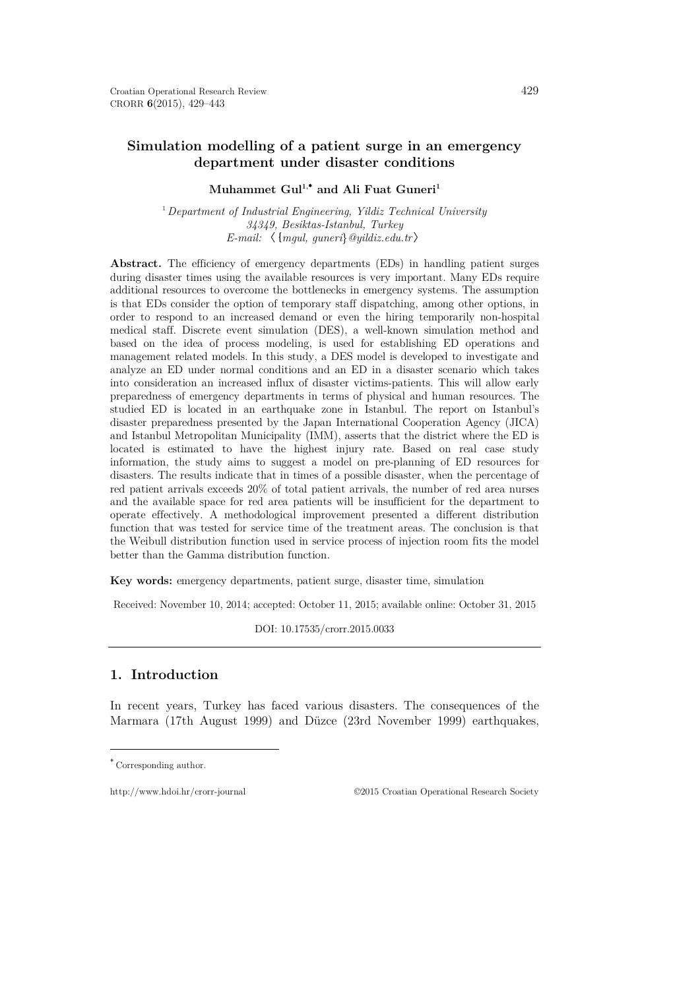# **Muhammet Gul1,**[∗](#page-0-0) **and Ali Fuat Guneri1**

<sup>1</sup>*Department of Industrial Engineering, Yildiz Technical University 34349, Besiktas-Istanbul, Turkey E-mail:* 〈{*mgul, guneri*}*@yildiz.edu.tr*〉

**Abstract.** The efficiency of emergency departments (EDs) in handling patient surges during disaster times using the available resources is very important. Many EDs require additional resources to overcome the bottlenecks in emergency systems. The assumption is that EDs consider the option of temporary staff dispatching, among other options, in order to respond to an increased demand or even the hiring temporarily non-hospital medical staff. Discrete event simulation (DES), a well-known simulation method and based on the idea of process modeling, is used for establishing ED operations and management related models. In this study, a DES model is developed to investigate and analyze an ED under normal conditions and an ED in a disaster scenario which takes into consideration an increased influx of disaster victims-patients. This will allow early preparedness of emergency departments in terms of physical and human resources. The studied ED is located in an earthquake zone in Istanbul. The report on Istanbul's disaster preparedness presented by the Japan International Cooperation Agency (JICA) and Istanbul Metropolitan Municipality (IMM), asserts that the district where the ED is located is estimated to have the highest injury rate. Based on real case study information, the study aims to suggest a model on pre-planning of ED resources for disasters. The results indicate that in times of a possible disaster, when the percentage of red patient arrivals exceeds 20% of total patient arrivals, the number of red area nurses and the available space for red area patients will be insufficient for the department to operate effectively. A methodological improvement presented a different distribution function that was tested for service time of the treatment areas. The conclusion is that the Weibull distribution function used in service process of injection room fits the model better than the Gamma distribution function.

**Key words:** emergency departments, patient surge, disaster time, simulation

Received: November 10, 2014; accepted: October 11, 2015; available online: October 31, 2015

DOI: 10.17535/crorr.2015.0033

#### **1. Introduction**

In recent years, Turkey has faced various disasters. The consequences of the Marmara (17th August 1999) and Düzce (23rd November 1999) earthquakes,

 $\overline{a}$ 

http://www.hdoi.hr/crorr-journal ©2015 Croatian Operational Research Society

<span id="page-0-0"></span><sup>∗</sup> Corresponding author.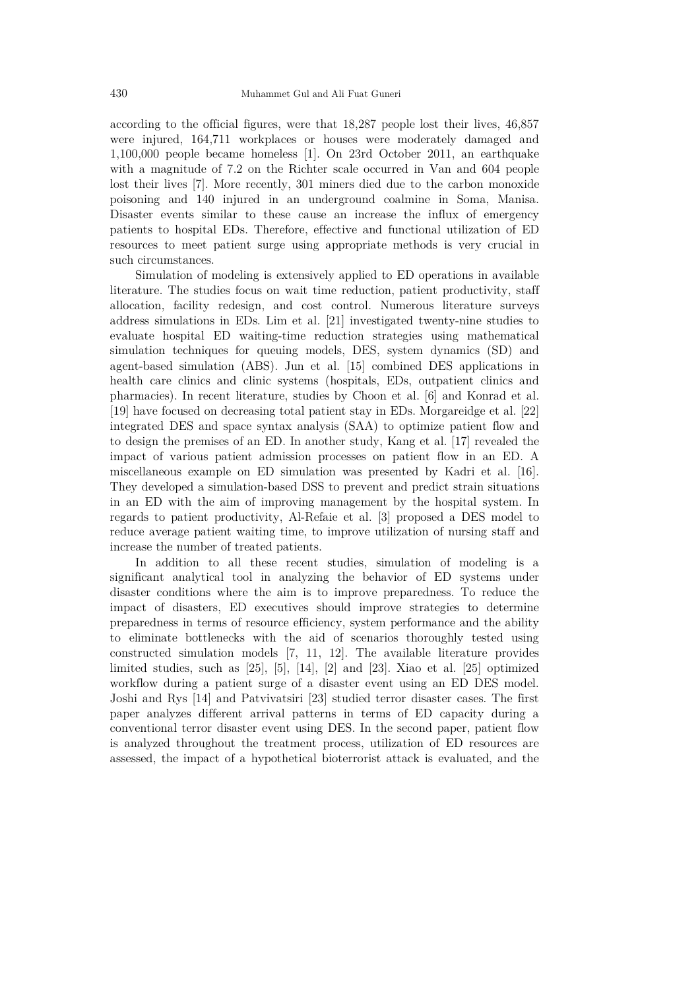according to the official figures, were that 18,287 people lost their lives, 46,857 were injured, 164,711 workplaces or houses were moderately damaged and 1,100,000 people became homeless [1]. On 23rd October 2011, an earthquake with a magnitude of 7.2 on the Richter scale occurred in Van and 604 people lost their lives [7]. More recently, 301 miners died due to the carbon monoxide poisoning and 140 injured in an underground coalmine in Soma, Manisa. Disaster events similar to these cause an increase the influx of emergency patients to hospital EDs. Therefore, effective and functional utilization of ED resources to meet patient surge using appropriate methods is very crucial in such circumstances.

Simulation of modeling is extensively applied to ED operations in available literature. The studies focus on wait time reduction, patient productivity, staff allocation, facility redesign, and cost control. Numerous literature surveys address simulations in EDs. Lim et al. [21] investigated twenty-nine studies to evaluate hospital ED waiting-time reduction strategies using mathematical simulation techniques for queuing models, DES, system dynamics (SD) and agent-based simulation (ABS). Jun et al. [15] combined DES applications in health care clinics and clinic systems (hospitals, EDs, outpatient clinics and pharmacies). In recent literature, studies by Choon et al. [6] and Konrad et al. [19] have focused on decreasing total patient stay in EDs. Morgareidge et al. [22] integrated DES and space syntax analysis (SAA) to optimize patient flow and to design the premises of an ED. In another study, Kang et al. [17] revealed the impact of various patient admission processes on patient flow in an ED. A miscellaneous example on ED simulation was presented by Kadri et al. [16]. They developed a simulation-based DSS to prevent and predict strain situations in an ED with the aim of improving management by the hospital system. In regards to patient productivity, Al-Refaie et al. [3] proposed a DES model to reduce average patient waiting time, to improve utilization of nursing staff and increase the number of treated patients.

In addition to all these recent studies, simulation of modeling is a significant analytical tool in analyzing the behavior of ED systems under disaster conditions where the aim is to improve preparedness. To reduce the impact of disasters, ED executives should improve strategies to determine preparedness in terms of resource efficiency, system performance and the ability to eliminate bottlenecks with the aid of scenarios thoroughly tested using constructed simulation models [7, 11, 12]. The available literature provides limited studies, such as  $[25]$ ,  $[5]$ ,  $[14]$ ,  $[2]$  and  $[23]$ . Xiao et al.  $[25]$  optimized workflow during a patient surge of a disaster event using an ED DES model. Joshi and Rys [14] and Patvivatsiri [23] studied terror disaster cases. The first paper analyzes different arrival patterns in terms of ED capacity during a conventional terror disaster event using DES. In the second paper, patient flow is analyzed throughout the treatment process, utilization of ED resources are assessed, the impact of a hypothetical bioterrorist attack is evaluated, and the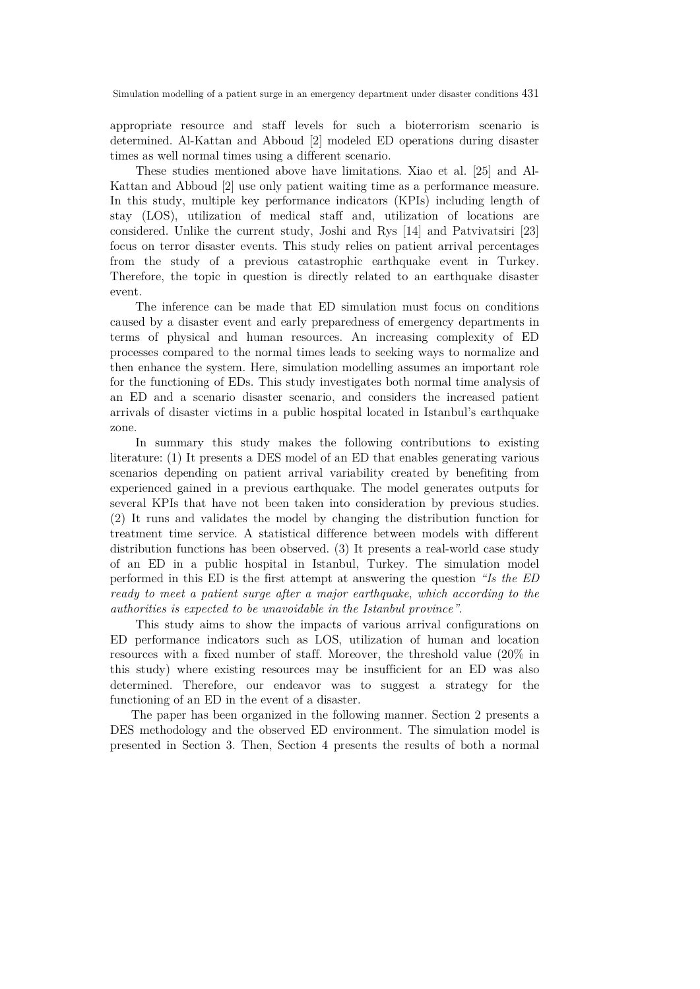appropriate resource and staff levels for such a bioterrorism scenario is determined. Al-Kattan and Abboud [2] modeled ED operations during disaster times as well normal times using a different scenario.

These studies mentioned above have limitations. Xiao et al. [25] and Al-Kattan and Abboud [2] use only patient waiting time as a performance measure. In this study, multiple key performance indicators (KPIs) including length of stay (LOS), utilization of medical staff and, utilization of locations are considered. Unlike the current study, Joshi and Rys [14] and Patvivatsiri [23] focus on terror disaster events. This study relies on patient arrival percentages from the study of a previous catastrophic earthquake event in Turkey. Therefore, the topic in question is directly related to an earthquake disaster event.

The inference can be made that ED simulation must focus on conditions caused by a disaster event and early preparedness of emergency departments in terms of physical and human resources. An increasing complexity of ED processes compared to the normal times leads to seeking ways to normalize and then enhance the system. Here, simulation modelling assumes an important role for the functioning of EDs. This study investigates both normal time analysis of an ED and a scenario disaster scenario, and considers the increased patient arrivals of disaster victims in a public hospital located in Istanbul's earthquake zone.

In summary this study makes the following contributions to existing literature: (1) It presents a DES model of an ED that enables generating various scenarios depending on patient arrival variability created by benefiting from experienced gained in a previous earthquake. The model generates outputs for several KPIs that have not been taken into consideration by previous studies. (2) It runs and validates the model by changing the distribution function for treatment time service. A statistical difference between models with different distribution functions has been observed. (3) It presents a real-world case study of an ED in a public hospital in Istanbul, Turkey. The simulation model performed in this ED is the first attempt at answering the question *"Is the ED ready to meet a patient surge after a major earthquake*, *which according to the authorities is expected to be unavoidable in the Istanbul province"*.

This study aims to show the impacts of various arrival configurations on ED performance indicators such as LOS, utilization of human and location resources with a fixed number of staff. Moreover, the threshold value (20% in this study) where existing resources may be insufficient for an ED was also determined. Therefore, our endeavor was to suggest a strategy for the functioning of an ED in the event of a disaster.

The paper has been organized in the following manner. Section 2 presents a DES methodology and the observed ED environment. The simulation model is presented in Section 3. Then, Section 4 presents the results of both a normal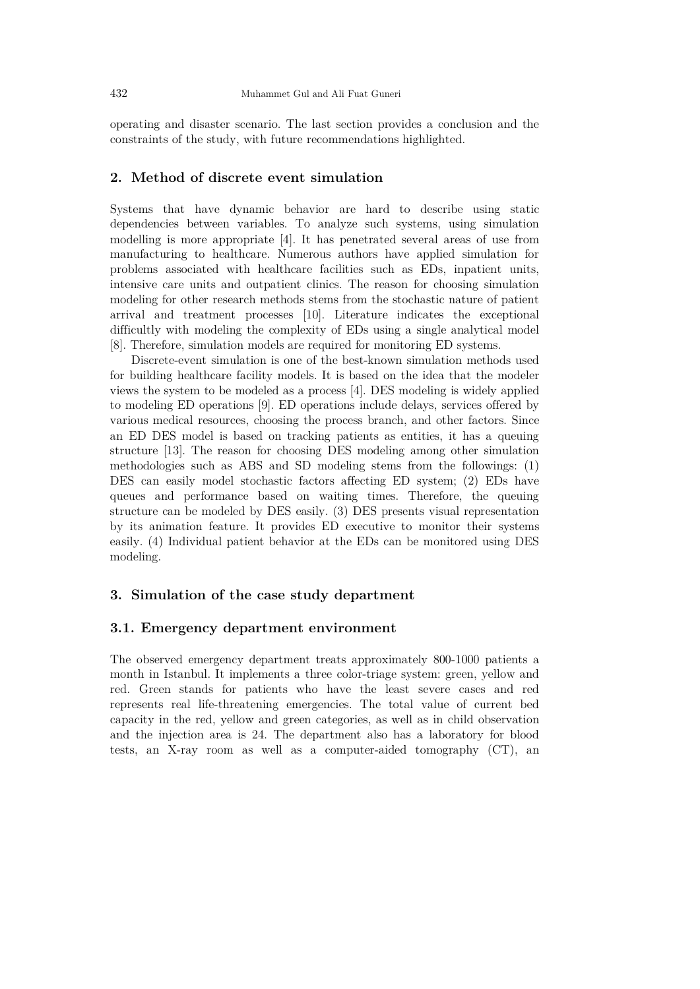operating and disaster scenario. The last section provides a conclusion and the constraints of the study, with future recommendations highlighted.

# **2. Method of discrete event simulation**

Systems that have dynamic behavior are hard to describe using static dependencies between variables. To analyze such systems, using simulation modelling is more appropriate [4]. It has penetrated several areas of use from manufacturing to healthcare. Numerous authors have applied simulation for problems associated with healthcare facilities such as EDs, inpatient units, intensive care units and outpatient clinics. The reason for choosing simulation modeling for other research methods stems from the stochastic nature of patient arrival and treatment processes [10]. Literature indicates the exceptional difficultly with modeling the complexity of EDs using a single analytical model [8]. Therefore, simulation models are required for monitoring ED systems.

Discrete-event simulation is one of the best-known simulation methods used for building healthcare facility models. It is based on the idea that the modeler views the system to be modeled as a process [4]. DES modeling is widely applied to modeling ED operations [9]. ED operations include delays, services offered by various medical resources, choosing the process branch, and other factors. Since an ED DES model is based on tracking patients as entities, it has a queuing structure [13]. The reason for choosing DES modeling among other simulation methodologies such as ABS and SD modeling stems from the followings: (1) DES can easily model stochastic factors affecting ED system; (2) EDs have queues and performance based on waiting times. Therefore, the queuing structure can be modeled by DES easily. (3) DES presents visual representation by its animation feature. It provides ED executive to monitor their systems easily. (4) Individual patient behavior at the EDs can be monitored using DES modeling.

# **3. Simulation of the case study department**

### **3.1. Emergency department environment**

The observed emergency department treats approximately 800-1000 patients a month in Istanbul. It implements a three color-triage system: green, yellow and red. Green stands for patients who have the least severe cases and red represents real life-threatening emergencies. The total value of current bed capacity in the red, yellow and green categories, as well as in child observation and the injection area is 24. The department also has a laboratory for blood tests, an X-ray room as well as a computer-aided tomography (CT), an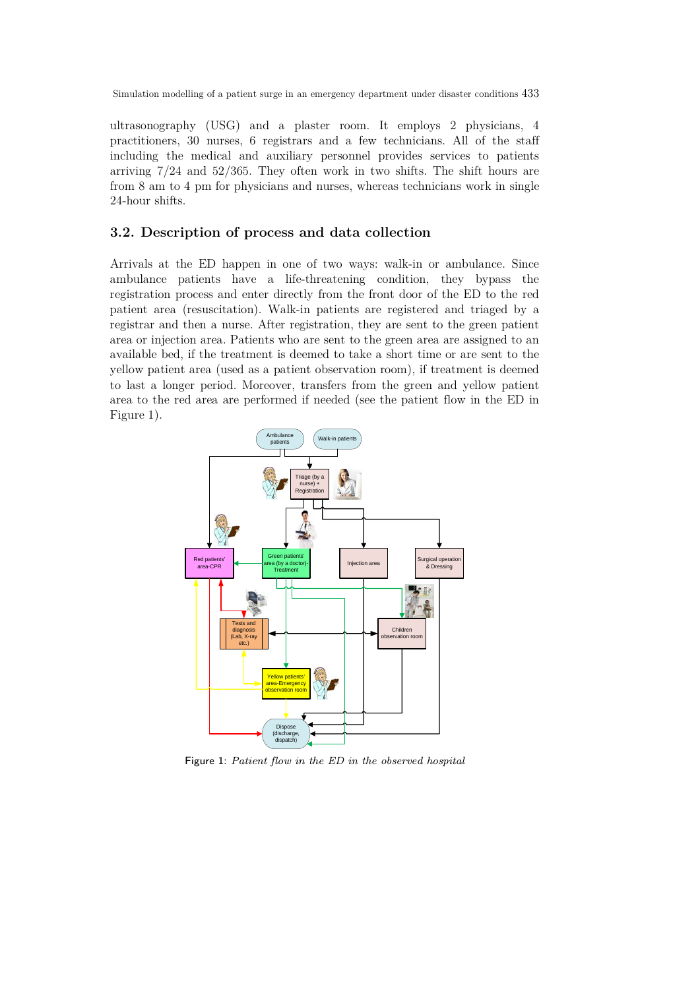ultrasonography (USG) and a plaster room. It employs 2 physicians, 4 practitioners, 30 nurses, 6 registrars and a few technicians. All of the staff including the medical and auxiliary personnel provides services to patients arriving 7/24 and 52/365. They often work in two shifts. The shift hours are from 8 am to 4 pm for physicians and nurses, whereas technicians work in single 24-hour shifts.

# **3.2. Description of process and data collection**

Arrivals at the ED happen in one of two ways: walk-in or ambulance. Since ambulance patients have a life-threatening condition, they bypass the registration process and enter directly from the front door of the ED to the red patient area (resuscitation). Walk-in patients are registered and triaged by a registrar and then a nurse. After registration, they are sent to the green patient area or injection area. Patients who are sent to the green area are assigned to an available bed, if the treatment is deemed to take a short time or are sent to the yellow patient area (used as a patient observation room), if treatment is deemed to last a longer period. Moreover, transfers from the green and yellow patient area to the red area are performed if needed (see the patient flow in the ED in Figure 1).



Figure 1: Patient flow in the ED in the observed hospital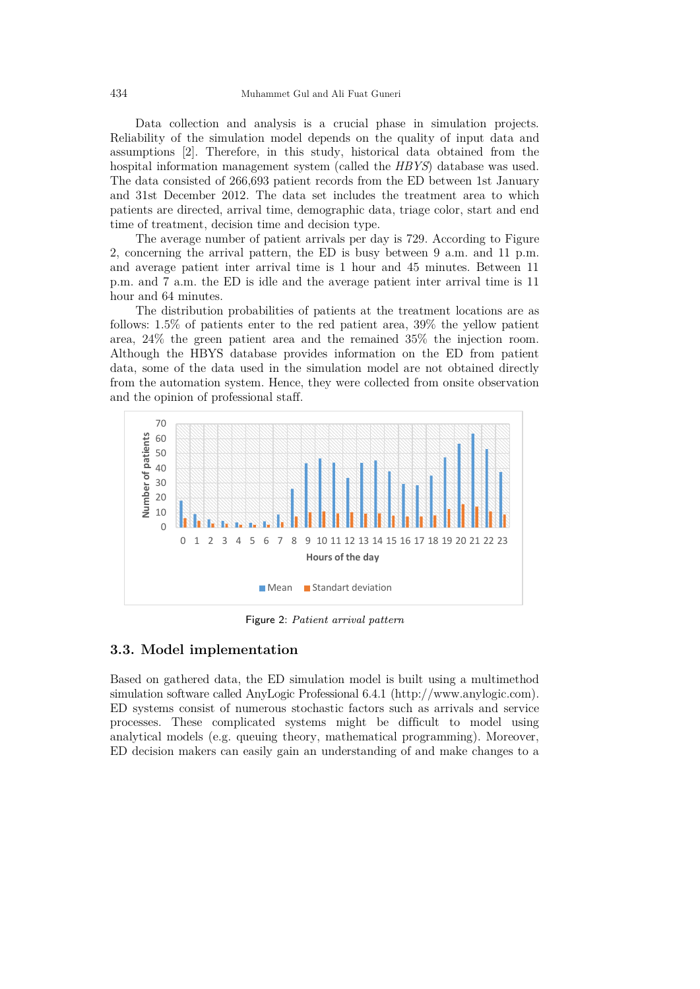Data collection and analysis is a crucial phase in simulation projects. Reliability of the simulation model depends on the quality of input data and assumptions [2]. Therefore, in this study, historical data obtained from the hospital information management system (called the *HBYS*) database was used. The data consisted of 266,693 patient records from the ED between 1st January and 31st December 2012. The data set includes the treatment area to which patients are directed, arrival time, demographic data, triage color, start and end time of treatment, decision time and decision type.

The average number of patient arrivals per day is 729. According to Figure 2, concerning the arrival pattern, the ED is busy between 9 a.m. and 11 p.m. and average patient inter arrival time is 1 hour and 45 minutes. Between 11 p.m. and 7 a.m. the ED is idle and the average patient inter arrival time is 11 hour and 64 minutes.

The distribution probabilities of patients at the treatment locations are as follows: 1.5% of patients enter to the red patient area, 39% the yellow patient area, 24% the green patient area and the remained 35% the injection room. Although the HBYS database provides information on the ED from patient data, some of the data used in the simulation model are not obtained directly from the automation system. Hence, they were collected from onsite observation and the opinion of professional staff.



Figure 2: Patient arrival pattern

#### **3.3. Model implementation**

Based on gathered data, the ED simulation model is built using a multimethod simulation software called AnyLogic Professional 6.4.1 (http://www.anylogic.com). ED systems consist of numerous stochastic factors such as arrivals and service processes. These complicated systems might be difficult to model using analytical models (e.g. queuing theory, mathematical programming). Moreover, ED decision makers can easily gain an understanding of and make changes to a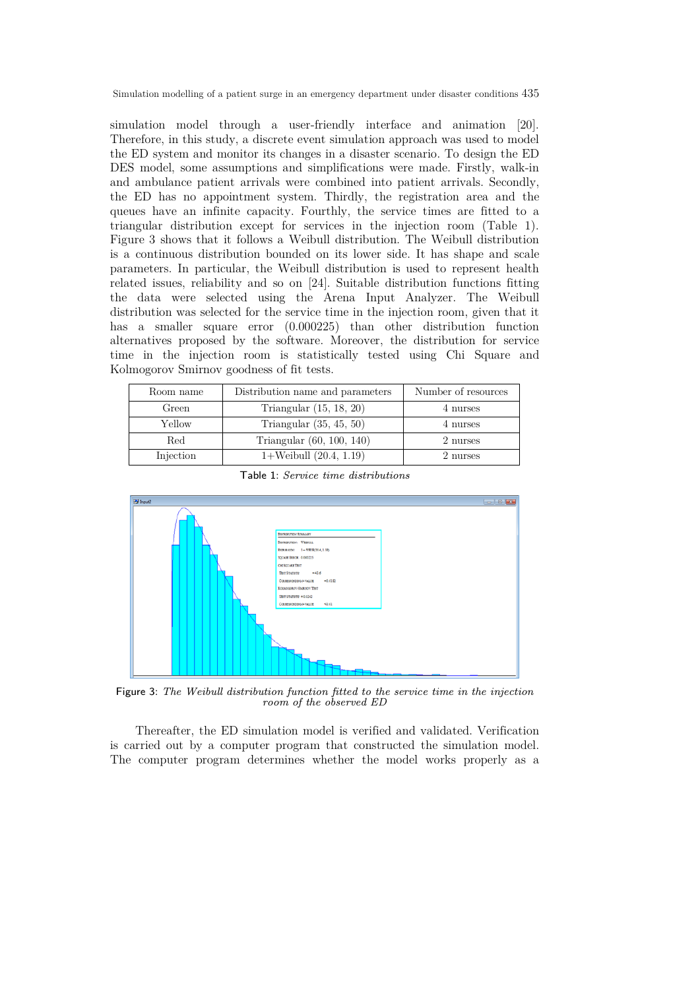simulation model through a user-friendly interface and animation [20]. Therefore, in this study, a discrete event simulation approach was used to model the ED system and monitor its changes in a disaster scenario. To design the ED DES model, some assumptions and simplifications were made. Firstly, walk-in and ambulance patient arrivals were combined into patient arrivals. Secondly, the ED has no appointment system. Thirdly, the registration area and the queues have an infinite capacity. Fourthly, the service times are fitted to a triangular distribution except for services in the injection room (Table 1). Figure 3 shows that it follows a Weibull distribution. The Weibull distribution is a continuous distribution bounded on its lower side. It has shape and scale parameters. In particular, the Weibull distribution is used to represent health related issues, reliability and so on [24]. Suitable distribution functions fitting the data were selected using the Arena Input Analyzer. The Weibull distribution was selected for the service time in the injection room, given that it has a smaller square error (0.000225) than other distribution function alternatives proposed by the software. Moreover, the distribution for service time in the injection room is statistically tested using Chi Square and Kolmogorov Smirnov goodness of fit tests.

| Room name | Distribution name and parameters | Number of resources |  |  |  |
|-----------|----------------------------------|---------------------|--|--|--|
| Green     | Triangular $(15, 18, 20)$        | 4 nurses            |  |  |  |
| Yellow    | Triangular $(35, 45, 50)$        | 4 nurses            |  |  |  |
| Red       | Triangular (60, 100, 140)        | 2 nurses            |  |  |  |
| Injection | 1+Weibull $(20.4, 1.19)$         | 2 nurses            |  |  |  |

Table 1: Service time distributions



Figure 3: The Weibull distribution function fitted to the service time in the injection room of the observed ED

Thereafter, the ED simulation model is verified and validated. Verification is carried out by a computer program that constructed the simulation model. The computer program determines whether the model works properly as a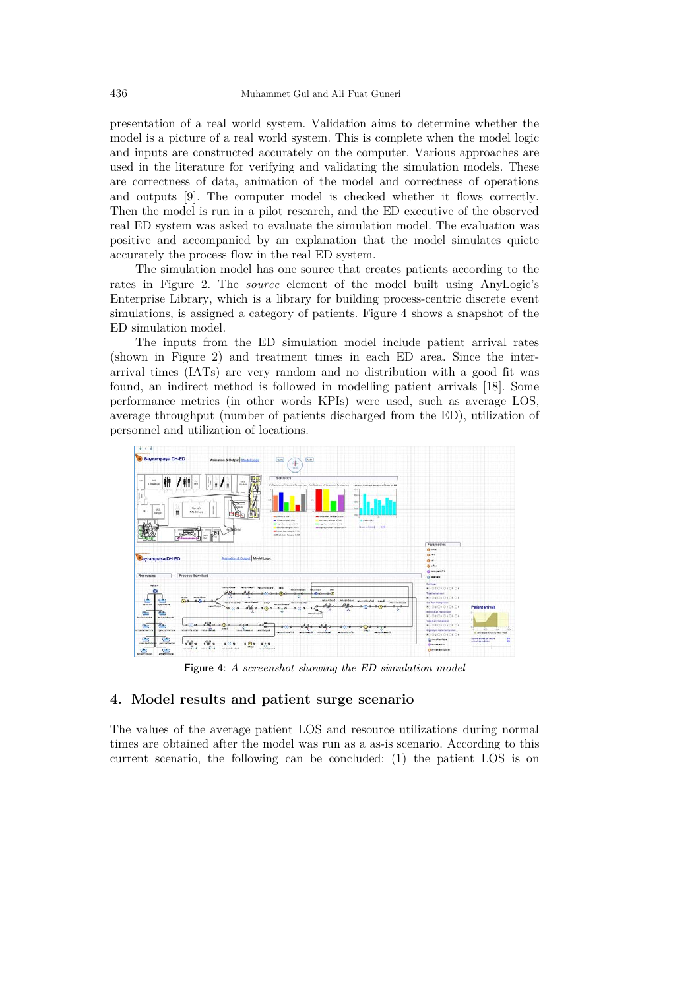presentation of a real world system. Validation aims to determine whether the model is a picture of a real world system. This is complete when the model logic and inputs are constructed accurately on the computer. Various approaches are used in the literature for verifying and validating the simulation models. These are correctness of data, animation of the model and correctness of operations and outputs [9]. The computer model is checked whether it flows correctly. Then the model is run in a pilot research, and the ED executive of the observed real ED system was asked to evaluate the simulation model. The evaluation was positive and accompanied by an explanation that the model simulates quiete accurately the process flow in the real ED system.

The simulation model has one source that creates patients according to the rates in Figure 2. The *source* element of the model built using AnyLogic's Enterprise Library, which is a library for building process-centric discrete event simulations, is assigned a category of patients. Figure 4 shows a snapshot of the ED simulation model.

The inputs from the ED simulation model include patient arrival rates (shown in Figure 2) and treatment times in each ED area. Since the interarrival times (IATs) are very random and no distribution with a good fit was found, an indirect method is followed in modelling patient arrivals [18]. Some performance metrics (in other words KPIs) were used, such as average LOS, average throughput (number of patients discharged from the ED), utilization of personnel and utilization of locations.



Figure 4: A screenshot showing the ED simulation model

# **4. Model results and patient surge scenario**

The values of the average patient LOS and resource utilizations during normal times are obtained after the model was run as a as-is scenario. According to this current scenario, the following can be concluded: (1) the patient LOS is on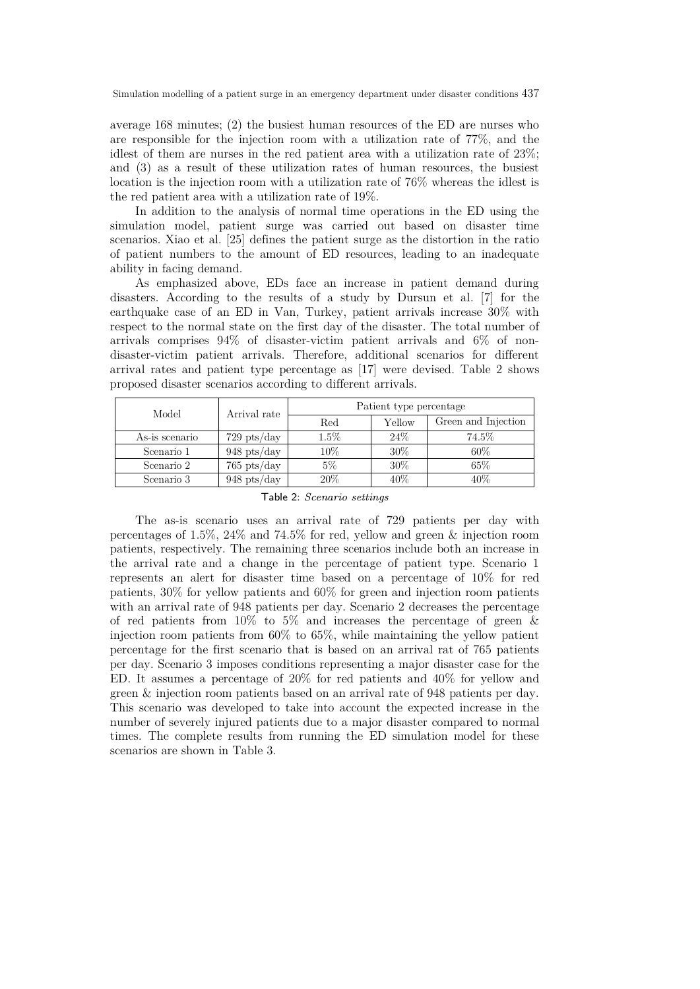average 168 minutes; (2) the busiest human resources of the ED are nurses who are responsible for the injection room with a utilization rate of 77%, and the idlest of them are nurses in the red patient area with a utilization rate of 23%; and (3) as a result of these utilization rates of human resources, the busiest location is the injection room with a utilization rate of 76% whereas the idlest is the red patient area with a utilization rate of 19%.

In addition to the analysis of normal time operations in the ED using the simulation model, patient surge was carried out based on disaster time scenarios. Xiao et al. [25] defines the patient surge as the distortion in the ratio of patient numbers to the amount of ED resources, leading to an inadequate ability in facing demand.

As emphasized above, EDs face an increase in patient demand during disasters. According to the results of a study by Dursun et al. [7] for the earthquake case of an ED in Van, Turkey, patient arrivals increase 30% with respect to the normal state on the first day of the disaster. The total number of arrivals comprises 94% of disaster-victim patient arrivals and 6% of nondisaster-victim patient arrivals. Therefore, additional scenarios for different arrival rates and patient type percentage as [17] were devised. Table 2 shows proposed disaster scenarios according to different arrivals.

| Model          | Arrival rate  | Patient type percentage |        |                     |  |  |  |
|----------------|---------------|-------------------------|--------|---------------------|--|--|--|
|                |               | Red                     | Yellow | Green and Injection |  |  |  |
| As-is scenario | $729$ pts/day | $1.5\%$                 | 24\%   | 74.5%               |  |  |  |
| Scenario 1     | $948$ pts/day | $10\%$                  | 30%    | 60%                 |  |  |  |
| Scenario 2     | $765$ pts/day | $5\%$                   | 30%    | 65%                 |  |  |  |
| Scenario 3     | $948$ pts/day | 20%                     | 40%    | 40%                 |  |  |  |

Table 2: Scenario settings

The as-is scenario uses an arrival rate of 729 patients per day with percentages of 1.5%, 24% and 74.5% for red, yellow and green & injection room patients, respectively. The remaining three scenarios include both an increase in the arrival rate and a change in the percentage of patient type. Scenario 1 represents an alert for disaster time based on a percentage of 10% for red patients, 30% for yellow patients and 60% for green and injection room patients with an arrival rate of 948 patients per day. Scenario 2 decreases the percentage of red patients from  $10\%$  to 5% and increases the percentage of green & injection room patients from 60% to 65%, while maintaining the yellow patient percentage for the first scenario that is based on an arrival rat of 765 patients per day. Scenario 3 imposes conditions representing a major disaster case for the ED. It assumes a percentage of 20% for red patients and 40% for yellow and green & injection room patients based on an arrival rate of 948 patients per day. This scenario was developed to take into account the expected increase in the number of severely injured patients due to a major disaster compared to normal times. The complete results from running the ED simulation model for these scenarios are shown in Table 3.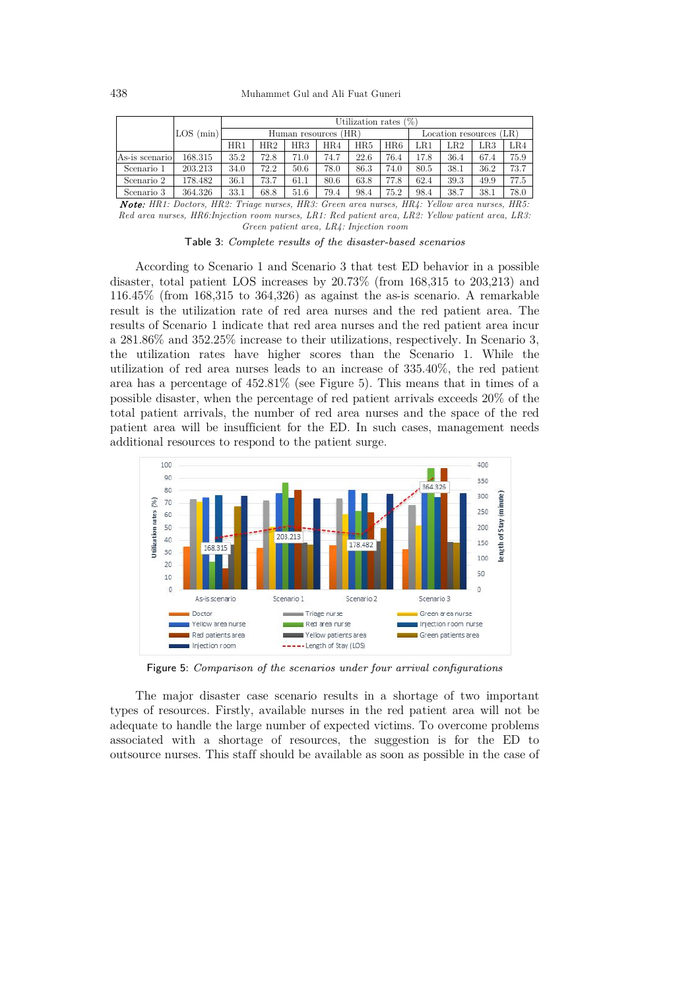|                |           | Utilization rates $(\%)$ |      |      |      |                           |                 |              |      |      |      |
|----------------|-----------|--------------------------|------|------|------|---------------------------|-----------------|--------------|------|------|------|
|                | LOS (min) | (HR)<br>Human resources  |      |      |      | Location resources $(LR)$ |                 |              |      |      |      |
|                |           | HR1                      | HR2  | HR3  | HR4  | HR5                       | HR <sub>6</sub> | $_{\rm LR1}$ | LR2  | LR3  | LR4  |
| As-is scenario | 168.315   | 35.2                     | 72.8 | 71.0 | 74.7 | 22.6                      | 76.4            | 17.8         | 36.4 | 67.4 | 75.9 |
| Scenario 1     | 203.213   | 34.0                     | 72.2 | 50.6 | 78.0 | 86.3                      | 74.0            | 80.5         | 38.1 | 36.2 | 73.7 |
| Scenario 2     | 178.482   | 36.1                     | 73.7 | 61.1 | 80.6 | 63.8                      | 77.8            | 62.4         | 39.3 | 49.9 | 77.5 |
| Scenario 3     | 364.326   | 33.1                     | 68.8 | 51.6 | 79.4 | 98.4                      | 75.2            | 98.4         | 38.7 | 38.  | 78.0 |

Note: *HR1: Doctors, HR2: Triage nurses, HR3: Green area nurses, HR4: Yellow area nurses, HR5: Red area nurses, HR6:Injection room nurses, LR1: Red patient area, LR2: Yellow patient area, LR3: Green patient area, LR4: Injection room*

Table 3: Complete results of the disaster-based scenarios

According to Scenario 1 and Scenario 3 that test ED behavior in a possible disaster, total patient LOS increases by 20.73% (from 168,315 to 203,213) and 116.45% (from 168,315 to 364,326) as against the as-is scenario. A remarkable result is the utilization rate of red area nurses and the red patient area. The results of Scenario 1 indicate that red area nurses and the red patient area incur a 281.86% and 352.25% increase to their utilizations, respectively. In Scenario 3, the utilization rates have higher scores than the Scenario 1. While the utilization of red area nurses leads to an increase of 335.40%, the red patient area has a percentage of 452.81% (see Figure 5). This means that in times of a possible disaster, when the percentage of red patient arrivals exceeds 20% of the total patient arrivals, the number of red area nurses and the space of the red patient area will be insufficient for the ED. In such cases, management needs additional resources to respond to the patient surge.



Figure 5: Comparison of the scenarios under four arrival configurations

The major disaster case scenario results in a shortage of two important types of resources. Firstly, available nurses in the red patient area will not be adequate to handle the large number of expected victims. To overcome problems associated with a shortage of resources, the suggestion is for the ED to outsource nurses. This staff should be available as soon as possible in the case of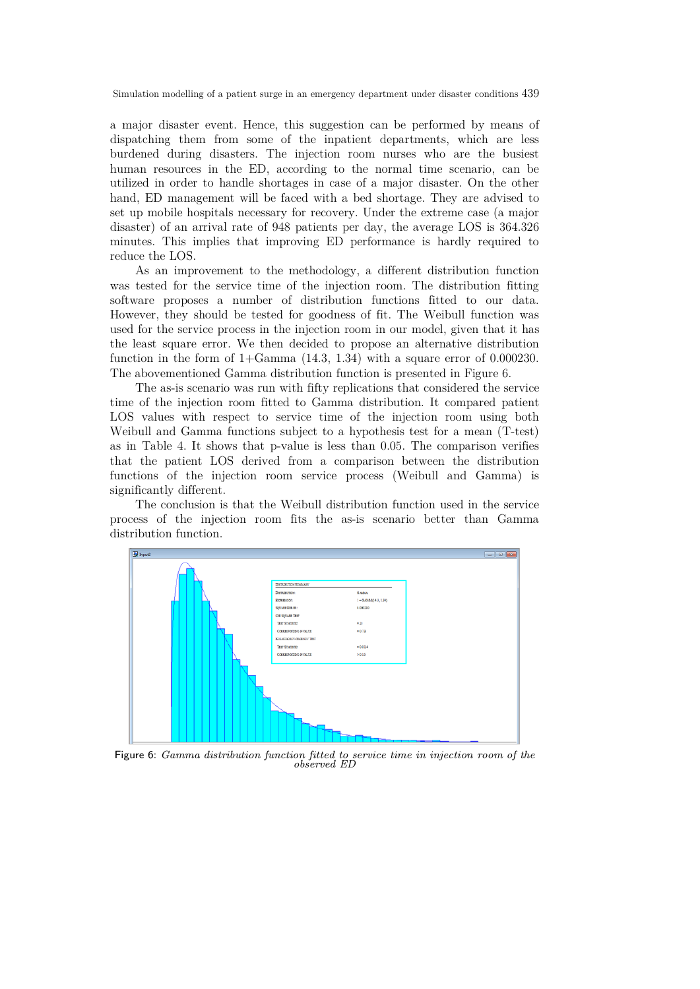a major disaster event. Hence, this suggestion can be performed by means of dispatching them from some of the inpatient departments, which are less burdened during disasters. The injection room nurses who are the busiest human resources in the ED, according to the normal time scenario, can be utilized in order to handle shortages in case of a major disaster. On the other hand, ED management will be faced with a bed shortage. They are advised to set up mobile hospitals necessary for recovery. Under the extreme case (a major disaster) of an arrival rate of 948 patients per day, the average LOS is 364.326 minutes. This implies that improving ED performance is hardly required to reduce the LOS.

As an improvement to the methodology, a different distribution function was tested for the service time of the injection room. The distribution fitting software proposes a number of distribution functions fitted to our data. However, they should be tested for goodness of fit. The Weibull function was used for the service process in the injection room in our model, given that it has the least square error. We then decided to propose an alternative distribution function in the form of  $1+Gamma$  (14.3, 1.34) with a square error of 0.000230. The abovementioned Gamma distribution function is presented in Figure 6.

The as-is scenario was run with fifty replications that considered the service time of the injection room fitted to Gamma distribution. It compared patient LOS values with respect to service time of the injection room using both Weibull and Gamma functions subject to a hypothesis test for a mean (T-test) as in Table 4. It shows that p-value is less than 0.05. The comparison verifies that the patient LOS derived from a comparison between the distribution functions of the injection room service process (Weibull and Gamma) is significantly different.

The conclusion is that the Weibull distribution function used in the service process of the injection room fits the as-is scenario better than Gamma distribution function.



Figure 6: Gamma distribution function fitted to service time in injection room of the observed ED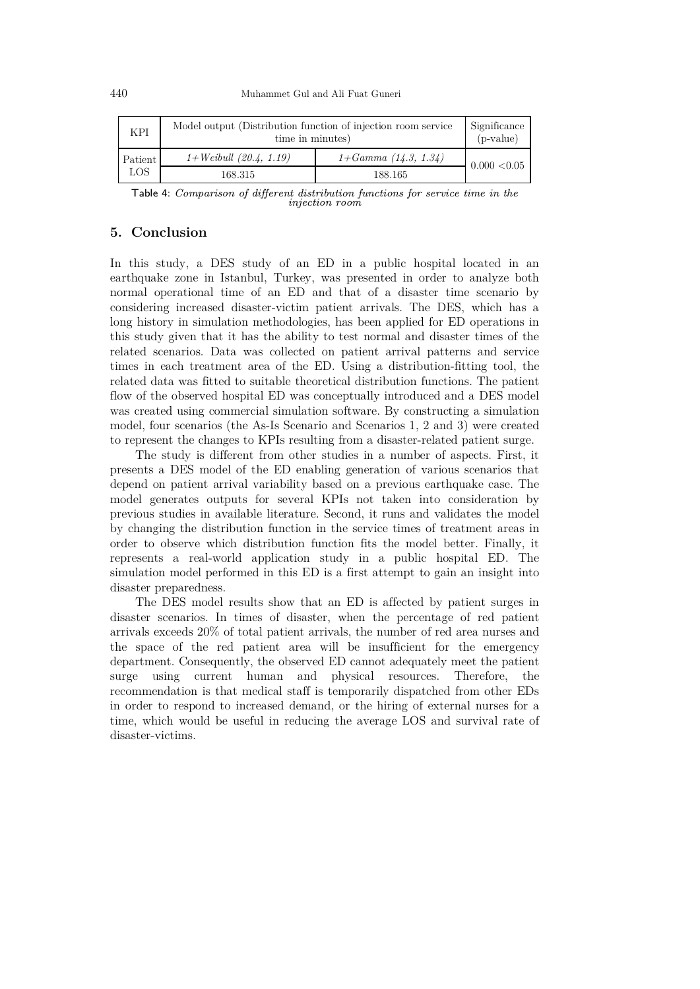440 Muhammet Gul and Ali Fuat Guneri

| <b>KPI</b> | Model output (Distribution function of injection room service)<br>time in minutes) | Significance<br>$(p-value)$ |              |
|------------|------------------------------------------------------------------------------------|-----------------------------|--------------|
| Patient    | $1 + Weibull$ (20.4, 1.19)                                                         | $1+Gamma(14.3, 1.34)$       | 0.000 < 0.05 |
| LOS.       | 168.315                                                                            | 188.165                     |              |

Table 4: Comparison of different distribution functions for service time in the injection room.

# **5. Conclusion**

In this study, a DES study of an ED in a public hospital located in an earthquake zone in Istanbul, Turkey, was presented in order to analyze both normal operational time of an ED and that of a disaster time scenario by considering increased disaster-victim patient arrivals. The DES, which has a long history in simulation methodologies, has been applied for ED operations in this study given that it has the ability to test normal and disaster times of the related scenarios. Data was collected on patient arrival patterns and service times in each treatment area of the ED. Using a distribution-fitting tool, the related data was fitted to suitable theoretical distribution functions. The patient flow of the observed hospital ED was conceptually introduced and a DES model was created using commercial simulation software. By constructing a simulation model, four scenarios (the As-Is Scenario and Scenarios 1, 2 and 3) were created to represent the changes to KPIs resulting from a disaster-related patient surge.

The study is different from other studies in a number of aspects. First, it presents a DES model of the ED enabling generation of various scenarios that depend on patient arrival variability based on a previous earthquake case. The model generates outputs for several KPIs not taken into consideration by previous studies in available literature. Second, it runs and validates the model by changing the distribution function in the service times of treatment areas in order to observe which distribution function fits the model better. Finally, it represents a real-world application study in a public hospital ED. The simulation model performed in this ED is a first attempt to gain an insight into disaster preparedness.

The DES model results show that an ED is affected by patient surges in disaster scenarios. In times of disaster, when the percentage of red patient arrivals exceeds 20% of total patient arrivals, the number of red area nurses and the space of the red patient area will be insufficient for the emergency department. Consequently, the observed ED cannot adequately meet the patient surge using current human and physical resources. Therefore, the recommendation is that medical staff is temporarily dispatched from other EDs in order to respond to increased demand, or the hiring of external nurses for a time, which would be useful in reducing the average LOS and survival rate of disaster-victims.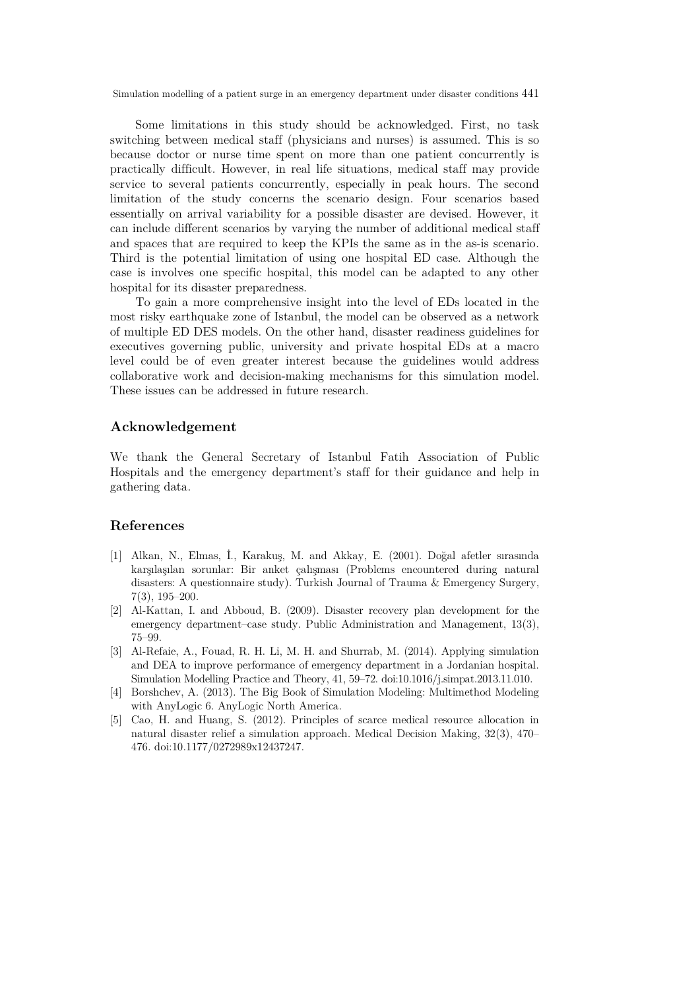Some limitations in this study should be acknowledged. First, no task switching between medical staff (physicians and nurses) is assumed. This is so because doctor or nurse time spent on more than one patient concurrently is practically difficult. However, in real life situations, medical staff may provide service to several patients concurrently, especially in peak hours. The second limitation of the study concerns the scenario design. Four scenarios based essentially on arrival variability for a possible disaster are devised. However, it can include different scenarios by varying the number of additional medical staff and spaces that are required to keep the KPIs the same as in the as-is scenario. Third is the potential limitation of using one hospital ED case. Although the case is involves one specific hospital, this model can be adapted to any other hospital for its disaster preparedness.

To gain a more comprehensive insight into the level of EDs located in the most risky earthquake zone of Istanbul, the model can be observed as a network of multiple ED DES models. On the other hand, disaster readiness guidelines for executives governing public, university and private hospital EDs at a macro level could be of even greater interest because the guidelines would address collaborative work and decision-making mechanisms for this simulation model. These issues can be addressed in future research.

### **Acknowledgement**

We thank the General Secretary of Istanbul Fatih Association of Public Hospitals and the emergency department's staff for their guidance and help in gathering data.

#### **References**

- [1] Alkan, N., Elmas, İ., Karakuş, M. and Akkay, E. (2001). Doğal afetler sırasında karşılaşılan sorunlar: Bir anket çalışması (Problems encountered during natural disasters: A questionnaire study). Turkish Journal of Trauma & Emergency Surgery, 7(3), 195–200.
- [2] Al-Kattan, I. and Abboud, B. (2009). Disaster recovery plan development for the emergency department–case study. Public Administration and Management, 13(3), 75–99.
- [3] Al-Refaie, A., Fouad, R. H. Li, M. H. and Shurrab, M. (2014). Applying simulation and DEA to improve performance of emergency department in a Jordanian hospital. Simulation Modelling Practice and Theory, 41, 59–72. doi:10.1016/j.simpat.2013.11.010.
- [4] Borshchev, A. (2013). The Big Book of Simulation Modeling: Multimethod Modeling with AnyLogic 6. AnyLogic North America.
- [5] Cao, H. and Huang, S. (2012). Principles of scarce medical resource allocation in natural disaster relief a simulation approach. Medical Decision Making, 32(3), 470– 476. doi:10.1177/0272989x12437247.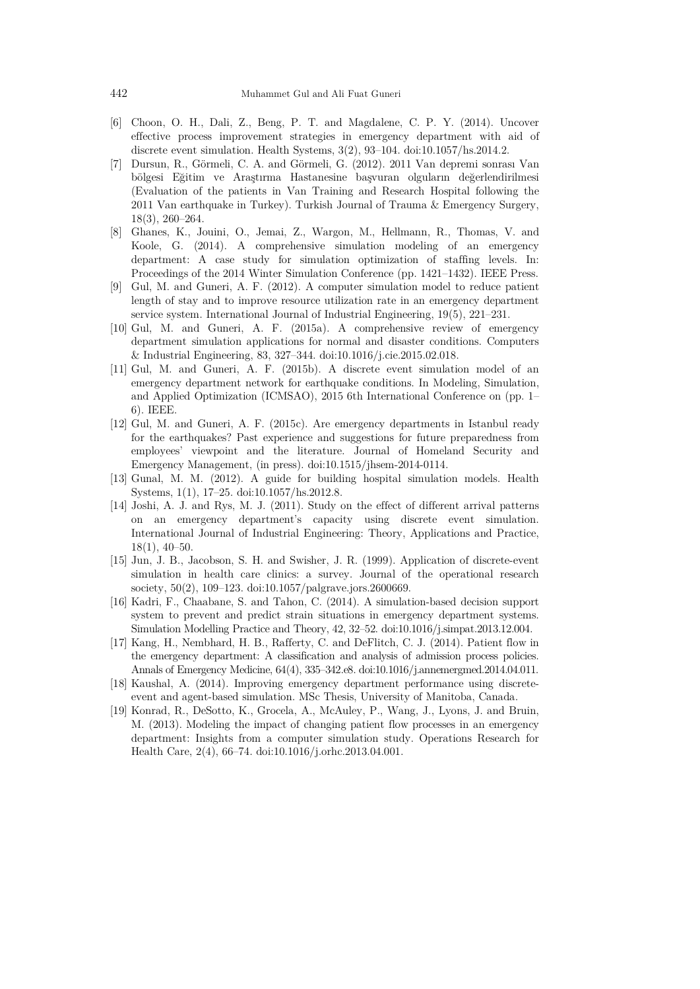- [6] Choon, O. H., Dali, Z., Beng, P. T. and Magdalene, C. P. Y. (2014). Uncover effective process improvement strategies in emergency department with aid of discrete event simulation. Health Systems, 3(2), 93–104. doi:10.1057/hs.2014.2.
- [7] Dursun, R., Görmeli, C. A. and Görmeli, G. (2012). 2011 Van depremi sonrası Van bölgesi Eğitim ve Araştırma Hastanesine başvuran olguların değerlendirilmesi (Evaluation of the patients in Van Training and Research Hospital following the 2011 Van earthquake in Turkey). Turkish Journal of Trauma & Emergency Surgery, 18(3), 260–264.
- [8] Ghanes, K., Jouini, O., Jemai, Z., Wargon, M., Hellmann, R., Thomas, V. and Koole, G. (2014). A comprehensive simulation modeling of an emergency department: A case study for simulation optimization of staffing levels. In: Proceedings of the 2014 Winter Simulation Conference (pp. 1421–1432). IEEE Press.
- [9] Gul, M. and Guneri, A. F. (2012). A computer simulation model to reduce patient length of stay and to improve resource utilization rate in an emergency department service system. International Journal of Industrial Engineering, 19(5), 221–231.
- [10] Gul, M. and Guneri, A. F. (2015a). A comprehensive review of emergency department simulation applications for normal and disaster conditions. Computers & Industrial Engineering, 83, 327–344. doi:10.1016/j.cie.2015.02.018.
- [11] Gul, M. and Guneri, A. F. (2015b). A discrete event simulation model of an emergency department network for earthquake conditions. In Modeling, Simulation, and Applied Optimization (ICMSAO), 2015 6th International Conference on (pp. 1– 6). IEEE.
- [12] Gul, M. and Guneri, A. F. (2015c). Are emergency departments in Istanbul ready for the earthquakes? Past experience and suggestions for future preparedness from employees' viewpoint and the literature. Journal of Homeland Security and Emergency Management, (in press). doi:10.1515/jhsem-2014-0114.
- [13] Gunal, M. M. (2012). A guide for building hospital simulation models. Health Systems, 1(1), 17–25. doi:10.1057/hs.2012.8.
- [14] Joshi, A. J. and Rys, M. J. (2011). Study on the effect of different arrival patterns on an emergency department's capacity using discrete event simulation. International Journal of Industrial Engineering: Theory, Applications and Practice, 18(1), 40–50.
- [15] Jun, J. B., Jacobson, S. H. and Swisher, J. R. (1999). Application of discrete-event simulation in health care clinics: a survey. Journal of the operational research society, 50(2), 109–123. doi:10.1057/palgrave.jors.2600669.
- [16] Kadri, F., Chaabane, S. and Tahon, C. (2014). A simulation-based decision support system to prevent and predict strain situations in emergency department systems. Simulation Modelling Practice and Theory, 42, 32–52. doi:10.1016/j.simpat.2013.12.004.
- [17] Kang, H., Nembhard, H. B., Rafferty, C. and DeFlitch, C. J. (2014). Patient flow in the emergency department: A classification and analysis of admission process policies. Annals of Emergency Medicine, 64(4), 335–342.e8. doi:10.1016/j.annemergmed.2014.04.011.
- [18] Kaushal, A. (2014). Improving emergency department performance using discreteevent and agent-based simulation. MSc Thesis, University of Manitoba, Canada.
- [19] Konrad, R., DeSotto, K., Grocela, A., McAuley, P., Wang, J., Lyons, J. and Bruin, M. (2013). Modeling the impact of changing patient flow processes in an emergency department: Insights from a computer simulation study. Operations Research for Health Care, 2(4), 66–74. doi:10.1016/j.orhc.2013.04.001.